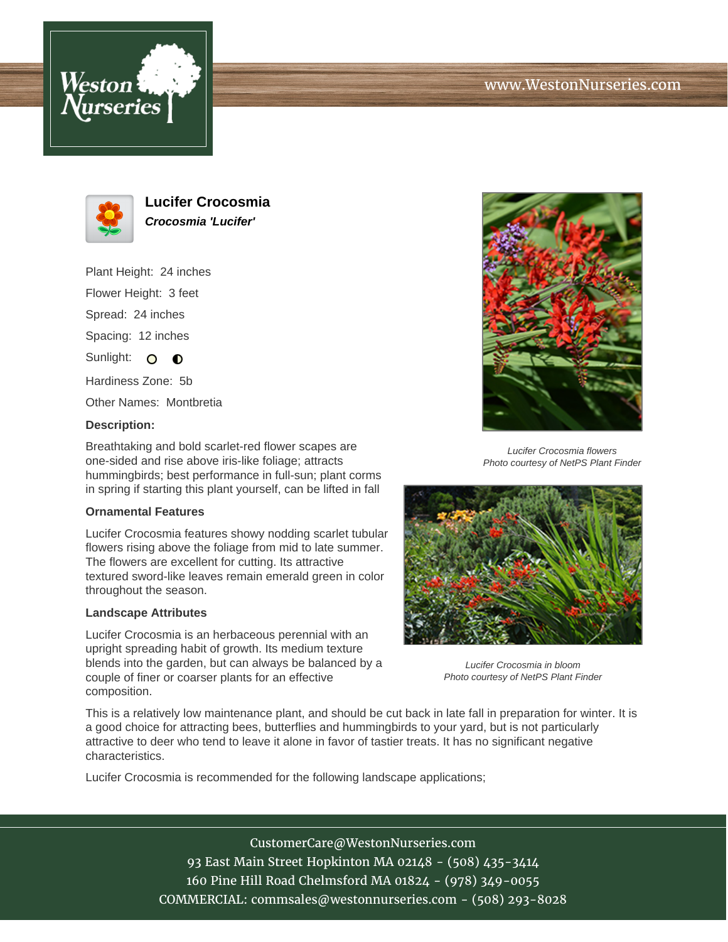



**Lucifer Crocosmia Crocosmia 'Lucifer'**

Plant Height: 24 inches

Flower Height: 3 feet

Spread: 24 inches

Spacing: 12 inches

Sunlight: O O

Hardiness Zone: 5b

Other Names: Montbretia

## **Description:**

Breathtaking and bold scarlet-red flower scapes are one-sided and rise above iris-like foliage; attracts hummingbirds; best performance in full-sun; plant corms in spring if starting this plant yourself, can be lifted in fall

## **Ornamental Features**

Lucifer Crocosmia features showy nodding scarlet tubular flowers rising above the foliage from mid to late summer. The flowers are excellent for cutting. Its attractive textured sword-like leaves remain emerald green in color throughout the season.

## **Landscape Attributes**

Lucifer Crocosmia is an herbaceous perennial with an upright spreading habit of growth. Its medium texture blends into the garden, but can always be balanced by a couple of finer or coarser plants for an effective composition.



Lucifer Crocosmia flowers Photo courtesy of NetPS Plant Finder



Lucifer Crocosmia in bloom Photo courtesy of NetPS Plant Finder

This is a relatively low maintenance plant, and should be cut back in late fall in preparation for winter. It is a good choice for attracting bees, butterflies and hummingbirds to your yard, but is not particularly attractive to deer who tend to leave it alone in favor of tastier treats. It has no significant negative characteristics.

Lucifer Crocosmia is recommended for the following landscape applications;

CustomerCare@WestonNurseries.com 93 East Main Street Hopkinton MA 02148 - (508) 435-3414 160 Pine Hill Road Chelmsford MA 01824 - (978) 349-0055 COMMERCIAL: commsales@westonnurseries.com - (508) 293-8028